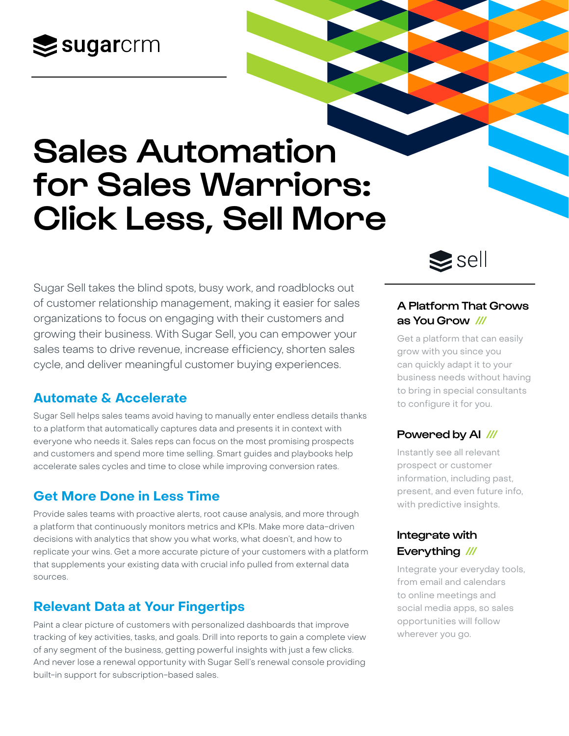## $\leq$ sugarcrm

# Sales Automation for Sales Warriors: Click Less, Sell More

Sugar Sell takes the blind spots, busy work, and roadblocks out of customer relationship management, making it easier for sales organizations to focus on engaging with their customers and growing their business. With Sugar Sell, you can empower your sales teams to drive revenue, increase efficiency, shorten sales cycle, and deliver meaningful customer buying experiences.

## **Automate & Accelerate**

Sugar Sell helps sales teams avoid having to manually enter endless details thanks to a platform that automatically captures data and presents it in context with everyone who needs it. Sales reps can focus on the most promising prospects and customers and spend more time selling. Smart guides and playbooks help accelerate sales cycles and time to close while improving conversion rates.

## **Get More Done in Less Time**

Provide sales teams with proactive alerts, root cause analysis, and more through a platform that continuously monitors metrics and KPIs. Make more data-driven decisions with analytics that show you what works, what doesn't, and how to replicate your wins. Get a more accurate picture of your customers with a platform that supplements your existing data with crucial info pulled from external data sources.

## **Relevant Data at Your Fingertips**

Paint a clear picture of customers with personalized dashboards that improve tracking of key activities, tasks, and goals. Drill into reports to gain a complete view of any segment of the business, getting powerful insights with just a few clicks. And never lose a renewal opportunity with Sugar Sell's renewal console providing built-in support for subscription-based sales.



### A Platform That Grows as You Grow ///

Get a platform that can easily grow with you since you can quickly adapt it to your business needs without having to bring in special consultants to configure it for you.

## Powered by AI ///

Instantly see all relevant prospect or customer information, including past, present, and even future info, with predictive insights.

## Integrate with Everything ///

Integrate your everyday tools, from email and calendars to online meetings and social media apps, so sales opportunities will follow wherever you go.